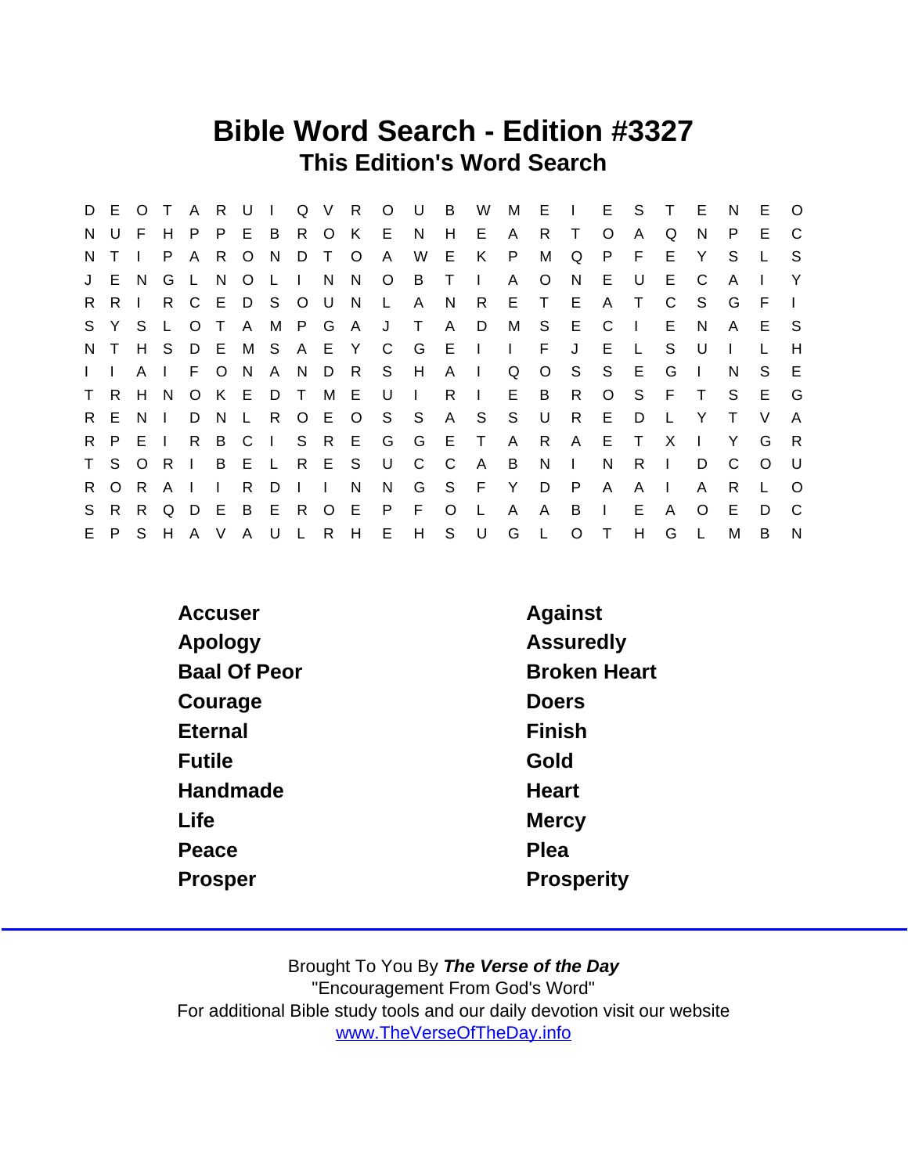### Bible Word Search - Edition #3327 This Edition's Word Search

|                | D E O T         |     |                |              | A R U        |              | $\pm 1$      |              |              | Q V R     | $\circ$        | U              | $\overline{B}$ | W              | M            |              | $E \cup$     |              | E S          | $\top$       | - E     | N            | E       | $\circ$      |
|----------------|-----------------|-----|----------------|--------------|--------------|--------------|--------------|--------------|--------------|-----------|----------------|----------------|----------------|----------------|--------------|--------------|--------------|--------------|--------------|--------------|---------|--------------|---------|--------------|
| N.             | $\cup$          | E   | H              | P.           | P.           | E.           | - B          |              | R O K        |           | E.             | N.             | H              | E              | A            | R.           | T            | O            | A            | Q            | N.      | P            | E       | C            |
| N <sub>1</sub> |                 |     | P.             | A            | R.           | $\circ$      | N            | D            | $\top$       | $\circ$   | A              | W              | E              | K              | P            | M            | Q            | P            | F            | E            | Y       | S            |         | S            |
|                | J E N           |     | G              | $\mathsf{L}$ | N            | $\circ$      | $\perp$      | $\mathbf{L}$ | - N          | N.        | $\circ$        | $\overline{B}$ | $\top$         | $\Box$         | A            | O            | N.           | E            | U            | E.           | C       | A            |         | $\mathsf{Y}$ |
| R.             | R.              |     | R              | $\mathsf{C}$ | E D S        |              |              |              | $O$ U        | N         | $\mathsf{L}$   | A              | N              | R.             | E.           | $\top$       | E.           | A            | $\top$       | C            | S.      | G            | F.      | $\mathbf{L}$ |
|                | S Y S           |     | $\mathsf{L}$   | $\circ$      | $\top$       | A            |              |              |              | M P G A J |                | $\top$         | $\mathsf{A}$   | D              | M            | S            | - E -        | C            | $\mathbf{I}$ | E.           | N       | $\mathsf{A}$ | Е       | - S          |
| N,             |                 | H S |                |              | D E M S      |              |              |              | A E Y        |           | C.             | G              | E.             | $\mathbb{R}^n$ | $\mathbf{L}$ | F.           | J            | E.           | $\mathsf{L}$ | S            | U       |              |         | H            |
| $\mathbf{L}$   |                 | A   | $\mathbf{I}$   | F            | O N          |              | A N D R      |              |              |           | S H            |                | $\mathsf{A}$   | $\Box$         | Q            | $\circ$      | S            | S            | E            | G            |         | N            | S.      | E            |
| T              | $R_{\parallel}$ | H   | N,             | $\circ$      | K E          |              | D T          |              | M E          |           | U              | $\Box$         | R.             | $\mathbf{L}$   | E.           | B            | R            | $\circ$      | S            | E            | $\top$  | S            | E       | G            |
|                | R E N           |     | $\mathbf{L}$   | D            | N            | $\perp$      | R            |              | O E O        |           | $S$ $S$        |                |                | A S            | S            | U            | R.           | Е            | D            | L            | Y       |              | V       | $\mathsf{A}$ |
|                | R P E           |     | $\blacksquare$ | $R_{\perp}$  | B C          |              | $\mathbf{1}$ |              | S R E        |           | $\overline{G}$ | G              | ET             |                | $\mathsf{A}$ | $\mathsf{R}$ | $\mathsf{A}$ | E            | $\top$       | $\times$     |         | Y            | G       | $\mathsf{R}$ |
|                | T S O           |     | R              |              | B E          |              | $\mathsf{L}$ |              | R E S        |           | U              | C              | - C            | $\mathsf{A}$   | B            | N            | $\mathbf{L}$ | N            | R.           | $\mathbf{I}$ | D       | C            | $\circ$ | - U          |
|                | R O             | -R  | $\mathsf{A}$   |              | $\mathbf{L}$ | R            | D            | $\mathbf{L}$ | $\mathbf{I}$ | N         | N              | G              | S              | F.             | Y            | D            | P            | A            | A            | $\mathbf{I}$ | A       | R.           |         | $\Omega$     |
| S              | R.              | R.  | Q              | D            | E            | B            | E            | R.           | $\circ$      | E         | P              | E              | $\circ$        |                | A            | A            | B            | $\mathbf{L}$ | E            | A            | $\circ$ | Е            | D       | C            |
|                | E P             | S.  | H              | A V          |              | $\mathsf{A}$ | ULRH         |              |              |           | E              | H              | S              | U              | G            | $\perp$      | $\circ$      | T            | H            | G            | L       | M            | B.      | N            |

| Accuser             | Against             |
|---------------------|---------------------|
| Apology             | Assuredly           |
| <b>Baal Of Peor</b> | <b>Broken Heart</b> |
| Courage             | <b>Doers</b>        |
| <b>Eternal</b>      | Finish              |
| Futile              | Gold                |
| Handmade            | Heart               |
| Life                | <b>Mercy</b>        |
| Peace               | Plea                |
| Prosper             | Prosperity          |
|                     |                     |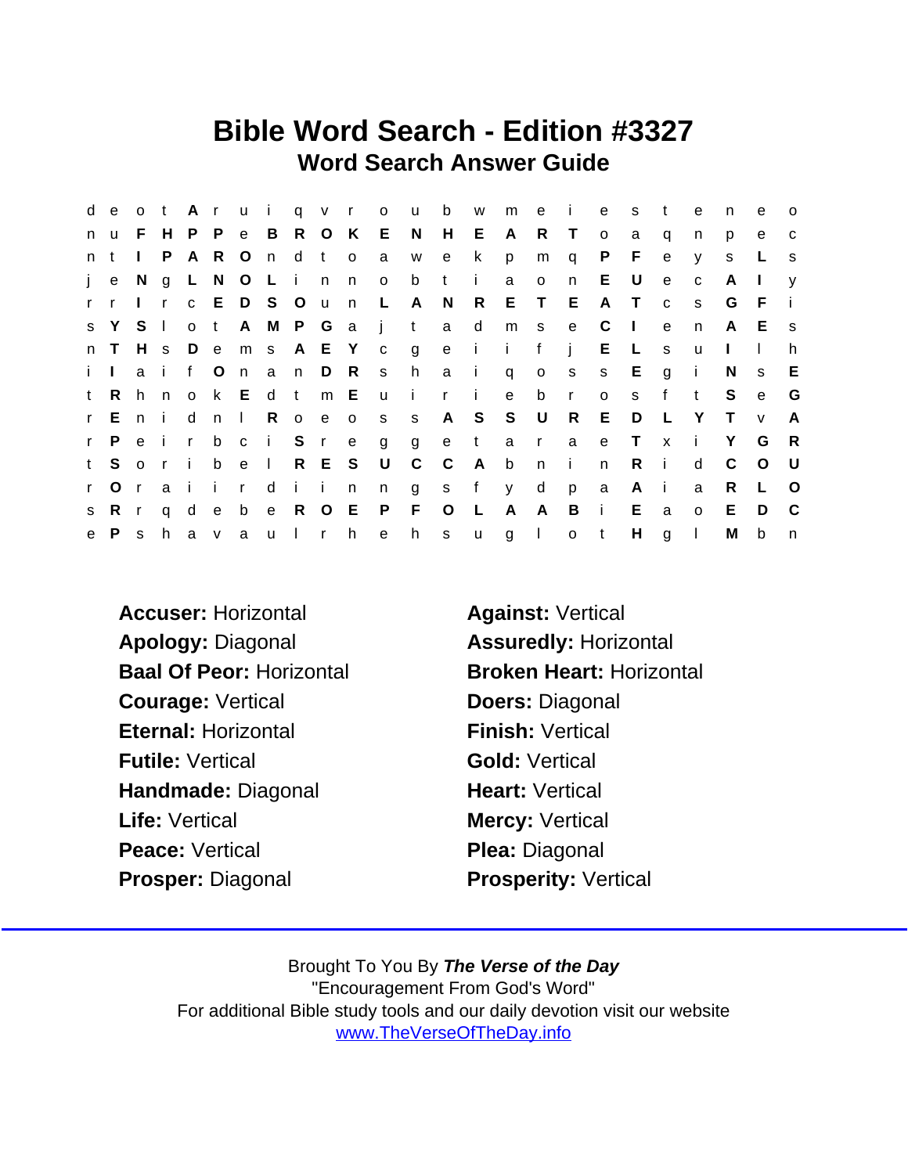### Bible Word Search - Edition #3327 Word Search Answer Guide

|              |           |              |              |              |              |               |             |     |           |                         | de ot Aruiqvrou |                | b            | W            |              |         |              | me i e      | s      | $-t$         | e            | n            | e            | $\Omega$     |
|--------------|-----------|--------------|--------------|--------------|--------------|---------------|-------------|-----|-----------|-------------------------|-----------------|----------------|--------------|--------------|--------------|---------|--------------|-------------|--------|--------------|--------------|--------------|--------------|--------------|
|              | n u       | F.           |              | HPP          |              |               |             |     | e B R O K |                         | E N             |                | $H_{\perp}$  | E.           | A            | R.      | $\top$       | $\circ$     | a      | q            | n            | p            | e            | $\mathbf{C}$ |
| n t          |           | $\mathbf{L}$ | P.           | $\mathsf{A}$ | -R           |               | Ondt        |     |           | $\overline{\mathbf{O}}$ | a               | W              | e            | $\mathsf{k}$ | p            | m       | q            | P.          | F      | e            | y            | S            | L            | <b>S</b>     |
|              | je N      |              |              |              |              | g L N O L i n |             |     |           | n                       | $\circ$         | b              | t i          |              | a            | $\circ$ | n            | E.          | U      | $\mathbf{e}$ | $\mathbf{C}$ | $\mathsf{A}$ | $\mathbf{L}$ | $\mathsf{V}$ |
|              | r r       | $\Box$       | $\mathsf{r}$ |              |              | c E D S O u   |             |     |           | n                       | $\mathsf{L}$    | A              | N            | $\mathsf{R}$ | E            | $\top$  | E            | A           | $\top$ | $\mathbf{C}$ | S.           | G            | - F          | -i-          |
|              | s Y S     |              | $\mathbb{R}$ | $\mathsf{o}$ | t            |               |             |     |           | A M P G a j             |                 | t              | a d          |              |              | m s     | e            | $\mathbb C$ | $\Box$ | $\mathbf{e}$ | n            | A E          |              | S.           |
|              | n T       | H s          |              |              | D e          |               |             |     | m s A E Y |                         | $\mathbf{C}$    | $\overline{g}$ |              |              | e i i        | f       | $\mathbf{i}$ | $E \quad L$ |        | s            | u            | $\mathbf{L}$ | $\mathbf{L}$ | h            |
|              | i L       |              | a i          | f O          |              |               |             |     | n a n D R |                         | S               | h              | a i          |              | $\mathsf{q}$ | $\circ$ | $\mathbf{s}$ | S           | $E$ g  |              | $\mathbf{i}$ | N            | S.           | E.           |
| t            | R.        | h.           |              |              |              | n ok Ed t     |             |     | $m$ E     |                         | $\mathsf{u}$    | $\mathbf{I}$   | r i          |              | e            | b r     |              | $\circ$     | S.     | f            | $-t$         | S            | $\mathbf e$  | G            |
|              | r En i d  |              |              |              |              | n I           |             |     | R o e o   |                         | S               | S              |              |              | A S S U      |         | R            | E           | D      | - L          | Y            | $\top$       | V            | $\mathsf{A}$ |
| $\mathbf{r}$ | P.        | e i          |              | $\mathbf{r}$ | $\mathsf{b}$ |               | c i         |     | S r e     |                         | g               | g              |              | e t          |              | a r     | a            | e           | $\top$ | $\mathsf{x}$ | $\mathbf{i}$ | Y            | G            | R            |
|              | t S o r i |              |              |              | b            |               | $e \quad 1$ |     | R E S     |                         | $\cup$          | $\mathsf{C}$   | $\mathbf{C}$ | A            | $\mathsf b$  | n       | $\mathbf{i}$ | n           | $R$ i  |              | d            | C            | $\circ$      | - U          |
| $\mathsf{r}$ |           | O(r)         | a i          |              | $\mathbf{i}$ | $r -$         |             | dii |           | n                       | n               | g              | s f          |              | y            | d       | p            | a           | A i    |              | a            | R            | $\mathsf{L}$ | $\circ$      |
|              | s R r     |              | q d          |              | e            |               |             |     | b e R O E |                         | P               | F              | $\circ$      | $\mathsf{L}$ | A            | A       | B            | $\sim 1$ .  | E.     | a            | $\Omega$     | E            | D            | C.           |
|              | e P s     |              |              |              | h a v        |               |             |     | aulrh     |                         | e               | h              | S            | $\mathsf{u}$ | $g \quad 1$  |         | $o$ t        |             | H.     | $\mathbf{g}$ | $\mathbf{L}$ | M            | b            | n            |

Accuser: Horizontal **Against: Vertical** Apology: Diagonal **Assuredly: Horizontal** Baal Of Peor: Horizontal Broken Heart: Horizontal Courage: Vertical Doers: Diagonal Eternal: Horizontal Finish: Vertical Futile: Vertical Gold: Vertical Handmade: Diagonal Heart: Vertical Life: Vertical Mercy: Vertical Peace: Vertical Plea: Diagonal Prosper: Diagonal Prosperity: Vertical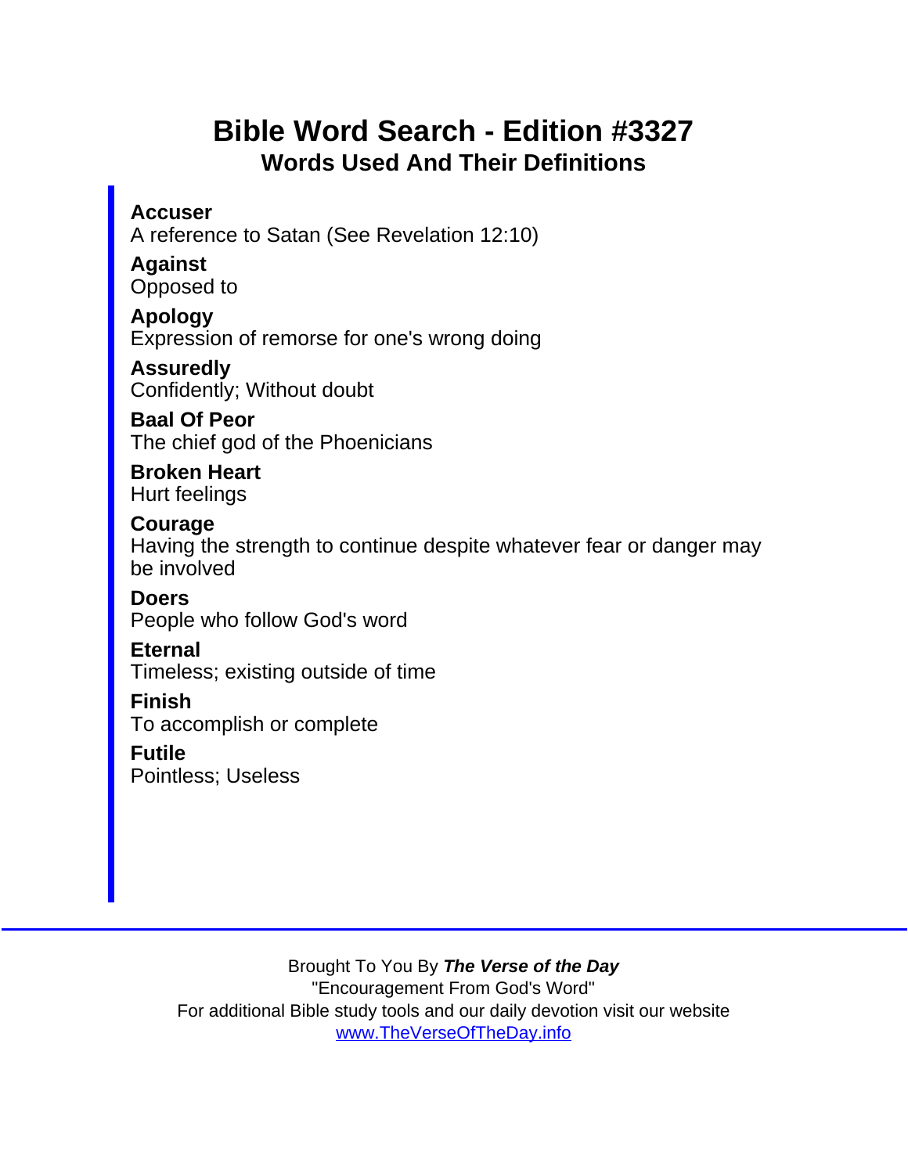# Bible Word Search - Edition #3327 Words Used And Their Definitions

**Accuser** A reference to Satan (See Revelation 12:10)

Against Opposed to

Apology Expression of remorse for one's wrong doing

Assuredly Confidently; Without doubt

Baal Of Peor The chief god of the Phoenicians

Broken Heart Hurt feelings

Courage

Having the strength to continue despite whatever fear or danger may be involved

Doers People who follow God's word

Eternal

Timeless; existing outside of time

Finish

To accomplish or complete

Futile Pointless; Useless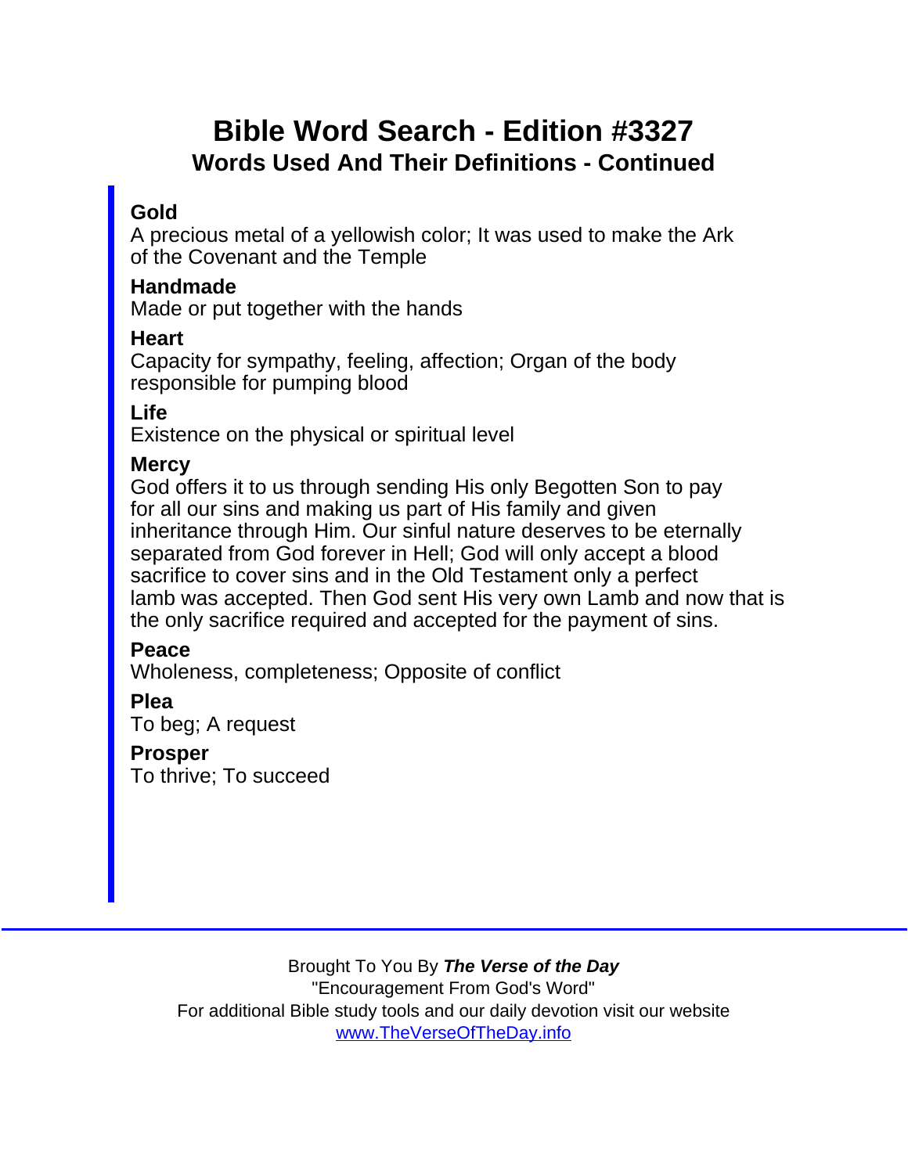# Bible Word Search - Edition #3327 Words Used And Their Definitions - Continued

#### Gold

A precious metal of a yellowish color; It was used to make the Ark of the Covenant and the Temple

Handmade

Made or put together with the hands

**Heart** 

Capacity for sympathy, feeling, affection; Organ of the body responsible for pumping blood

Life

Existence on the physical or spiritual level

**Mercy** 

God offers it to us through sending His only Begotten Son to pay for all our sins and making us part of His family and given inheritance through Him. Our sinful nature deserves to be eternally separated from God forever in Hell; God will only accept a blood sacrifice to cover sins and in the Old Testament only a perfect lamb was accepted. Then God sent His very own Lamb and now that is the only sacrifice required and accepted for the payment of sins.

Peace

Wholeness, completeness; Opposite of conflict

Plea To beg; A request

Prosper To thrive; To succeed